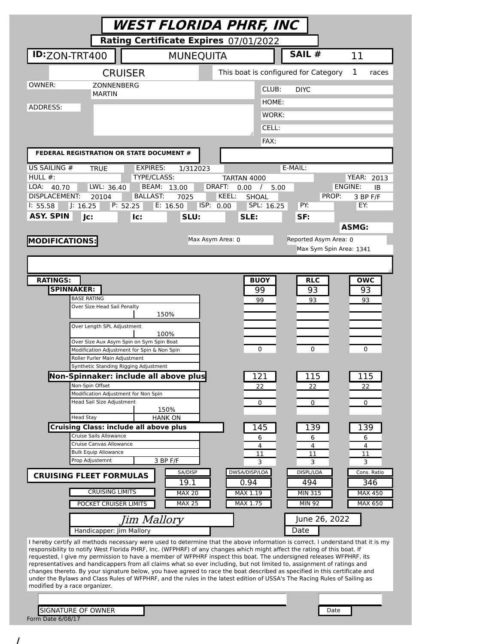| WEST FLORIDA PHRF, INC                                                                                                                                                                                                                                                                                                                                                                                                                                                                                                                                                                                                                                                                                                                                                                               |                                                                                         |
|------------------------------------------------------------------------------------------------------------------------------------------------------------------------------------------------------------------------------------------------------------------------------------------------------------------------------------------------------------------------------------------------------------------------------------------------------------------------------------------------------------------------------------------------------------------------------------------------------------------------------------------------------------------------------------------------------------------------------------------------------------------------------------------------------|-----------------------------------------------------------------------------------------|
| Rating Certificate Expires 07/01/2022                                                                                                                                                                                                                                                                                                                                                                                                                                                                                                                                                                                                                                                                                                                                                                |                                                                                         |
| <b>ID:</b> ZON-TRT400<br><b>MUNEQUITA</b>                                                                                                                                                                                                                                                                                                                                                                                                                                                                                                                                                                                                                                                                                                                                                            | SAIL #<br>11                                                                            |
| <b>CRUISER</b>                                                                                                                                                                                                                                                                                                                                                                                                                                                                                                                                                                                                                                                                                                                                                                                       | This boat is configured for Category<br>1<br>races                                      |
| OWNER:<br>ZONNENBERG                                                                                                                                                                                                                                                                                                                                                                                                                                                                                                                                                                                                                                                                                                                                                                                 | CLUB:<br><b>DIYC</b>                                                                    |
| <b>MARTIN</b>                                                                                                                                                                                                                                                                                                                                                                                                                                                                                                                                                                                                                                                                                                                                                                                        | HOME:                                                                                   |
| ADDRESS:                                                                                                                                                                                                                                                                                                                                                                                                                                                                                                                                                                                                                                                                                                                                                                                             | WORK:                                                                                   |
|                                                                                                                                                                                                                                                                                                                                                                                                                                                                                                                                                                                                                                                                                                                                                                                                      | CELL:                                                                                   |
|                                                                                                                                                                                                                                                                                                                                                                                                                                                                                                                                                                                                                                                                                                                                                                                                      | FAX:                                                                                    |
| FEDERAL REGISTRATION OR STATE DOCUMENT #                                                                                                                                                                                                                                                                                                                                                                                                                                                                                                                                                                                                                                                                                                                                                             |                                                                                         |
| US SAILING #<br><b>EXPIRES:</b><br><b>TRUE</b><br>1/312023<br>HULL $#$ :                                                                                                                                                                                                                                                                                                                                                                                                                                                                                                                                                                                                                                                                                                                             | E-MAIL:                                                                                 |
| TYPE/CLASS:<br>LOA:<br>LWL: 36.40<br>BEAM:<br>40.70<br>13.00                                                                                                                                                                                                                                                                                                                                                                                                                                                                                                                                                                                                                                                                                                                                         | <b>YEAR: 2013</b><br>TARTAN 4000<br>DRAFT:<br>ENGINE:<br>0.00<br>$\prime$<br>5.00<br>ΙB |
| <b>DISPLACEMENT:</b><br><b>BALLAST:</b><br>20104<br>7025<br>P: 52.25<br>E: 16.50                                                                                                                                                                                                                                                                                                                                                                                                                                                                                                                                                                                                                                                                                                                     | KEEL:<br>SHOAL<br>PROP:<br>3 BP F/F<br>EY:<br>ISP: 0.00<br>SPL: 16.25<br>PY:            |
| J: 16.25<br>1: 55.58<br>ASY. SPIN<br>Jc:<br>SLU:<br>lc:                                                                                                                                                                                                                                                                                                                                                                                                                                                                                                                                                                                                                                                                                                                                              | SLE:<br>SF:                                                                             |
|                                                                                                                                                                                                                                                                                                                                                                                                                                                                                                                                                                                                                                                                                                                                                                                                      | <b>ASMG:</b>                                                                            |
| <b>MODIFICATIONS:</b>                                                                                                                                                                                                                                                                                                                                                                                                                                                                                                                                                                                                                                                                                                                                                                                | Max Asym Area: 0<br>Reported Asym Area: 0                                               |
|                                                                                                                                                                                                                                                                                                                                                                                                                                                                                                                                                                                                                                                                                                                                                                                                      | Max Sym Spin Area: 1341                                                                 |
|                                                                                                                                                                                                                                                                                                                                                                                                                                                                                                                                                                                                                                                                                                                                                                                                      |                                                                                         |
| <b>RATINGS:</b><br><b>SPINNAKER:</b>                                                                                                                                                                                                                                                                                                                                                                                                                                                                                                                                                                                                                                                                                                                                                                 | <b>BUOY</b><br><b>RLC</b><br>owc<br>99<br>93<br>93                                      |
| <b>BASE RATING</b>                                                                                                                                                                                                                                                                                                                                                                                                                                                                                                                                                                                                                                                                                                                                                                                   | 99<br>93<br>93                                                                          |
| Over Size Head Sail Penalty<br>150%                                                                                                                                                                                                                                                                                                                                                                                                                                                                                                                                                                                                                                                                                                                                                                  |                                                                                         |
| Over Length SPL Adjustment                                                                                                                                                                                                                                                                                                                                                                                                                                                                                                                                                                                                                                                                                                                                                                           |                                                                                         |
| 100%<br>Over Size Aux Asym Spin on Sym Spin Boat                                                                                                                                                                                                                                                                                                                                                                                                                                                                                                                                                                                                                                                                                                                                                     |                                                                                         |
| Modification Adjustment for Spin & Non Spin<br>Roller Furler Main Adjustment                                                                                                                                                                                                                                                                                                                                                                                                                                                                                                                                                                                                                                                                                                                         | 0<br>0<br>0                                                                             |
| Synthetic Standing Rigging Adjustment<br>Non-Spinnaker: include all above plus                                                                                                                                                                                                                                                                                                                                                                                                                                                                                                                                                                                                                                                                                                                       | 121<br>$\overline{1}15$<br>115                                                          |
| Non-Spin Offset                                                                                                                                                                                                                                                                                                                                                                                                                                                                                                                                                                                                                                                                                                                                                                                      | 22<br>22<br>22                                                                          |
| Modification Adjustment for Non Spin<br><b>Head Sail Size Adjustment</b>                                                                                                                                                                                                                                                                                                                                                                                                                                                                                                                                                                                                                                                                                                                             | 0<br>0<br>0                                                                             |
| 150%<br><b>HANK ON</b><br><b>Head Stay</b>                                                                                                                                                                                                                                                                                                                                                                                                                                                                                                                                                                                                                                                                                                                                                           |                                                                                         |
| <b>Cruising Class: include all above plus</b>                                                                                                                                                                                                                                                                                                                                                                                                                                                                                                                                                                                                                                                                                                                                                        | 145<br>139<br>139                                                                       |
| Cruise Sails Allowance<br>Cruise Canvas Allowance                                                                                                                                                                                                                                                                                                                                                                                                                                                                                                                                                                                                                                                                                                                                                    | 6<br>6<br>6<br>4<br>4<br>4                                                              |
| <b>Bulk Equip Allowance</b><br>Prop Adjustemnt<br>3 BP F/F                                                                                                                                                                                                                                                                                                                                                                                                                                                                                                                                                                                                                                                                                                                                           | 11<br>11<br>11<br>3<br>3<br>3                                                           |
| SA/DISP<br><b>CRUISING FLEET FORMULAS</b>                                                                                                                                                                                                                                                                                                                                                                                                                                                                                                                                                                                                                                                                                                                                                            | DWSA/DISP/LOA<br>DISPL/LOA<br>Cons. Ratio                                               |
| 19.1                                                                                                                                                                                                                                                                                                                                                                                                                                                                                                                                                                                                                                                                                                                                                                                                 | 0.94<br>494<br>346                                                                      |
| <b>CRUISING LIMITS</b><br><b>MAX 20</b><br><b>MAX 25</b><br>POCKET CRUISER LIMITS                                                                                                                                                                                                                                                                                                                                                                                                                                                                                                                                                                                                                                                                                                                    | MAX 1.19<br><b>MIN 315</b><br><b>MAX 450</b><br>MAX 1.75<br><b>MIN 92</b><br>MAX 650    |
| Jim Mallory                                                                                                                                                                                                                                                                                                                                                                                                                                                                                                                                                                                                                                                                                                                                                                                          | June 26, 2022                                                                           |
| Handicapper: Jim Mallory                                                                                                                                                                                                                                                                                                                                                                                                                                                                                                                                                                                                                                                                                                                                                                             | Date                                                                                    |
| I hereby certify all methods necessary were used to determine that the above information is correct. I understand that it is my<br>responsibility to notify West Florida PHRF, Inc. (WFPHRF) of any changes which might affect the rating of this boat. If<br>requested, I give my permission to have a member of WFPHRF inspect this boat. The undersigned releases WFPHRF, its<br>representatives and handicappers from all claims what so ever including, but not limited to, assignment of ratings and<br>changes thereto. By your signature below, you have agreed to race the boat described as specified in this certificate and<br>under the Bylaws and Class Rules of WFPHRF, and the rules in the latest edition of USSA's The Racing Rules of Sailing as<br>modified by a race organizer. |                                                                                         |
| <b>SIGNATURE OF OWNER</b><br>Form Date 6/08/17                                                                                                                                                                                                                                                                                                                                                                                                                                                                                                                                                                                                                                                                                                                                                       | Date                                                                                    |

/